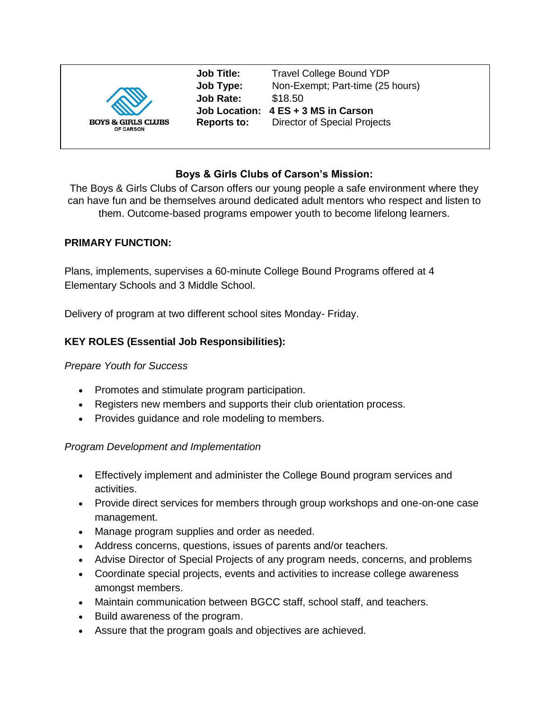|                                            | <b>Job Title:</b>  | <b>Travel College Bound YDP</b>     |
|--------------------------------------------|--------------------|-------------------------------------|
|                                            | Job Type:          | Non-Exempt; Part-time (25 hours)    |
|                                            | <b>Job Rate:</b>   | \$18.50                             |
|                                            |                    | Job Location: 4 ES + 3 MS in Carson |
| <b>BOYS &amp; GIRLS CLUBS</b><br>OF CARSON | <b>Reports to:</b> | Director of Special Projects        |

# **Boys & Girls Clubs of Carson's Mission:**

The Boys & Girls Clubs of Carson offers our young people a safe environment where they can have fun and be themselves around dedicated adult mentors who respect and listen to them. Outcome-based programs empower youth to become lifelong learners.

### **PRIMARY FUNCTION:**

Plans, implements, supervises a 60-minute College Bound Programs offered at 4 Elementary Schools and 3 Middle School.

Delivery of program at two different school sites Monday- Friday.

# **KEY ROLES (Essential Job Responsibilities):**

### *Prepare Youth for Success*

- Promotes and stimulate program participation.
- Registers new members and supports their club orientation process.
- Provides guidance and role modeling to members.

# *Program Development and Implementation*

- Effectively implement and administer the College Bound program services and activities.
- Provide direct services for members through group workshops and one-on-one case management.
- Manage program supplies and order as needed.
- Address concerns, questions, issues of parents and/or teachers.
- Advise Director of Special Projects of any program needs, concerns, and problems
- Coordinate special projects, events and activities to increase college awareness amongst members.
- Maintain communication between BGCC staff, school staff, and teachers.
- Build awareness of the program.
- Assure that the program goals and objectives are achieved.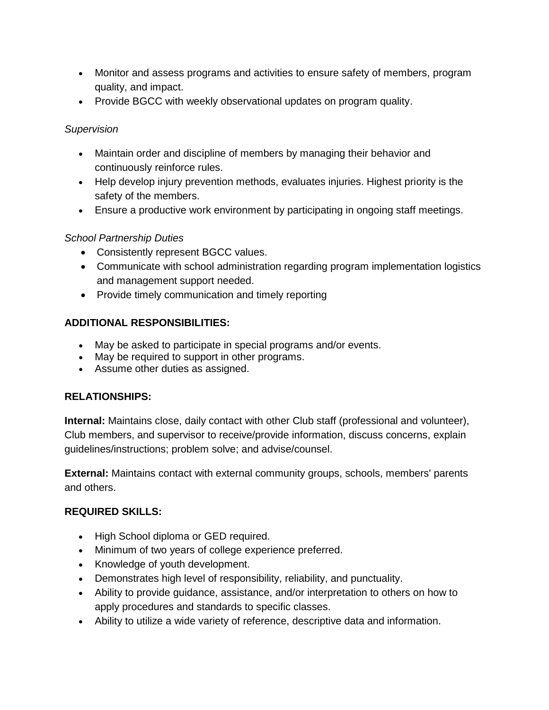- Monitor and assess programs and activities to ensure safety of members, program quality, and impact.
- Provide BGCC with weekly observational updates on program quality.

### *Supervision*

- Maintain order and discipline of members by managing their behavior and continuously reinforce rules.
- Help develop injury prevention methods, evaluates injuries. Highest priority is the safety of the members.
- Ensure a productive work environment by participating in ongoing staff meetings.

### *School Partnership Duties*

- Consistently represent BGCC values.
- Communicate with school administration regarding program implementation logistics and management support needed.
- Provide timely communication and timely reporting

# **ADDITIONAL RESPONSIBILITIES:**

- May be asked to participate in special programs and/or events.
- May be required to support in other programs.
- Assume other duties as assigned.

### **RELATIONSHIPS:**

**Internal:** Maintains close, daily contact with other Club staff (professional and volunteer), Club members, and supervisor to receive/provide information, discuss concerns, explain guidelines/instructions; problem solve; and advise/counsel.

**External:** Maintains contact with external community groups, schools, members' parents and others.

### **REQUIRED SKILLS:**

- High School diploma or GED required.
- Minimum of two years of college experience preferred.
- Knowledge of youth development.
- Demonstrates high level of responsibility, reliability, and punctuality.
- Ability to provide guidance, assistance, and/or interpretation to others on how to apply procedures and standards to specific classes.
- Ability to utilize a wide variety of reference, descriptive data and information.